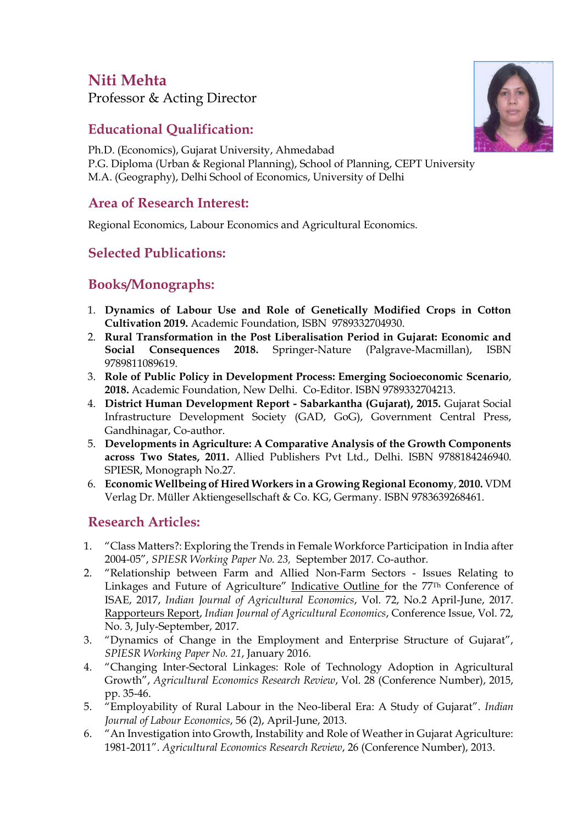# **Niti Mehta**

Professor & Acting Director

# **Educational Qualification:**

Ph.D. (Economics), Gujarat University, Ahmedabad P.G. Diploma (Urban & Regional Planning), School of Planning, CEPT University M.A. (Geography), Delhi School of Economics, University of Delhi

#### **Area of Research Interest:**

Regional Economics, Labour Economics and Agricultural Economics.

## **Selected Publications:**

## **Books/Monographs:**

- 1. **Dynamics of Labour Use and Role of Genetically Modified Crops in Cotton Cultivation 2019.** Academic Foundation, ISBN 9789332704930.
- 2. **Rural Transformation in the Post Liberalisation Period in Gujarat: Economic and Social Consequences 2018.** Springer-Nature (Palgrave-Macmillan), ISBN 9789811089619.
- 3. **Role of Public Policy in Development Process: Emerging Socioeconomic Scenario**, **2018.** Academic Foundation, New Delhi. Co-Editor. ISBN 9789332704213.
- 4. **District Human Development Report - Sabarkantha (Gujarat), 2015.** Gujarat Social Infrastructure Development Society (GAD, GoG), Government Central Press, Gandhinagar, Co-author.
- 5. **Developments in Agriculture: A Comparative Analysis of the Growth Components across Two States, 2011.** Allied Publishers Pvt Ltd., Delhi. ISBN 9788184246940. SPIESR, Monograph No.27.
- 6. **Economic Wellbeing of Hired Workers in a Growing Regional Economy**, **2010.** VDM Verlag Dr. Müller Aktiengesellschaft & Co. KG, Germany. ISBN 9783639268461.

#### **Research Articles:**

- 1. "Class Matters?: Exploring the Trends in Female Workforce Participation in India after 2004-05", *SPIESR Working Paper No. 23,* September 2017*.* Co-author.
- 2. "Relationship between Farm and Allied Non-Farm Sectors Issues Relating to Linkages and Future of Agriculture" Indicative Outline for the 77Th Conference of ISAE, 2017, *Indian Journal of Agricultural Economics*, Vol. 72, No.2 April-June, 2017. Rapporteurs Report, *Indian Journal of Agricultural Economics*, Conference Issue, Vol. 72, No. 3, July-September, 2017.
- 3. "Dynamics of Change in the Employment and Enterprise Structure of Gujarat", *SPIESR Working Paper No. 21*, January 2016.
- 4. "Changing Inter-Sectoral Linkages: Role of Technology Adoption in Agricultural Growth", *Agricultural Economics Research Review*, Vol. 28 (Conference Number), 2015, pp. 35-46.
- 5. "Employability of Rural Labour in the Neo-liberal Era: A Study of Gujarat". *Indian Journal of Labour Economics*, 56 (2), April-June, 2013.
- 6. "An Investigation into Growth, Instability and Role of Weather in Gujarat Agriculture: 1981-2011". *Agricultural Economics Research Review*, 26 (Conference Number), 2013.

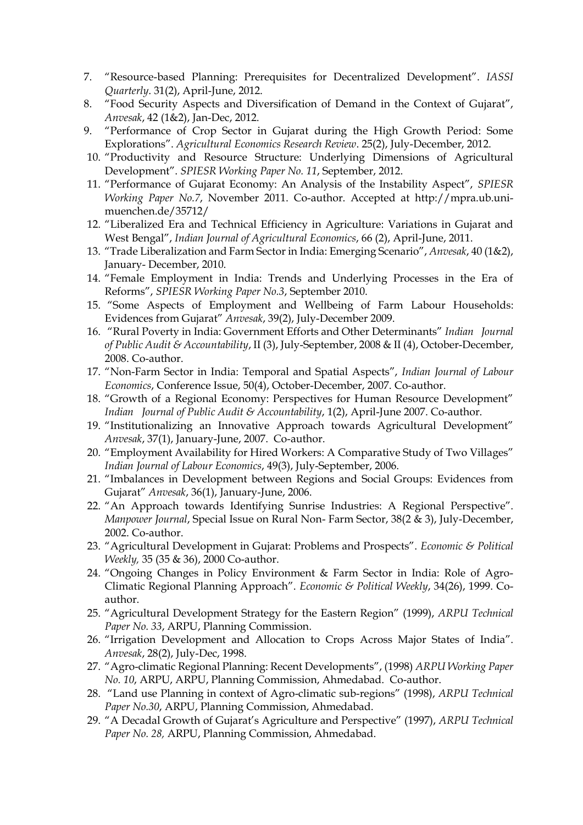- 7. "Resource-based Planning: Prerequisites for Decentralized Development". *IASSI Quarterly*. 31(2), April-June, 2012.
- 8. "Food Security Aspects and Diversification of Demand in the Context of Gujarat", *Anvesak*, 42 (1&2), Jan-Dec, 2012.
- 9. "Performance of Crop Sector in Gujarat during the High Growth Period: Some Explorations". *Agricultural Economics Research Review*. 25(2), July-December, 2012.
- 10. "Productivity and Resource Structure: Underlying Dimensions of Agricultural Development". *SPIESR Working Paper No. 11*, September, 2012.
- 11. "Performance of Gujarat Economy: An Analysis of the Instability Aspect", *SPIESR Working Paper No.7*, November 2011. Co-author. Accepted at [http://mpra.ub.uni](http://econpapers.repec.org/scripts/redir.pf?u=http%3A%2F%2Fmpra.ub.uni-muenchen.de%2F35712%2F;h=repec:pra:mprapa:35712)[muenchen.de/35712/](http://econpapers.repec.org/scripts/redir.pf?u=http%3A%2F%2Fmpra.ub.uni-muenchen.de%2F35712%2F;h=repec:pra:mprapa:35712)
- 12. "Liberalized Era and Technical Efficiency in Agriculture: Variations in Gujarat and West Bengal", *Indian Journal of Agricultural Economics*, 66 (2), April-June, 2011.
- 13. "Trade Liberalization and Farm Sector in India: Emerging Scenario", *Anvesak*, 40 (1&2), January- December, 2010.
- 14. "Female Employment in India: Trends and Underlying Processes in the Era of Reforms", *SPIESR Working Paper No.3*, September 2010.
- 15. "Some Aspects of Employment and Wellbeing of Farm Labour Households: Evidences from Gujarat" *Anvesak*, 39(2), July-December 2009.
- 16. "Rural Poverty in India: Government Efforts and Other Determinants" *Indian Journal of Public Audit & Accountability*, II (3), July-September, 2008 & II (4), October-December, 2008. Co-author.
- 17. "Non-Farm Sector in India: Temporal and Spatial Aspects", *Indian Journal of Labour Economics*, Conference Issue, 50(4), October-December, 2007. Co-author.
- 18. "Growth of a Regional Economy: Perspectives for Human Resource Development" *Indian Journal of Public Audit & Accountability*, 1(2), April-June 2007. Co-author.
- 19. "Institutionalizing an Innovative Approach towards Agricultural Development" *Anvesak*, 37(1), January-June, 2007. Co-author.
- 20. "Employment Availability for Hired Workers: A Comparative Study of Two Villages" *Indian Journal of Labour Economics*, 49(3), July-September, 2006.
- 21. "Imbalances in Development between Regions and Social Groups: Evidences from Gujarat" *Anvesak*, 36(1), January-June, 2006.
- 22. "An Approach towards Identifying Sunrise Industries: A Regional Perspective". *Manpower Journal*, Special Issue on Rural Non- Farm Sector, 38(2 & 3), July-December, 2002. Co-author.
- 23. "Agricultural Development in Gujarat: Problems and Prospects". *Economic & Political Weekly,* 35 (35 & 36), 2000 Co-author.
- 24. "Ongoing Changes in Policy Environment & Farm Sector in India: Role of Agro-Climatic Regional Planning Approach". *Economic & Political Weekly*, 34(26), 1999. Coauthor.
- 25. "Agricultural Development Strategy for the Eastern Region" (1999), *ARPU Technical Paper No. 33*, ARPU, Planning Commission.
- 26. "Irrigation Development and Allocation to Crops Across Major States of India". *Anvesak*, 28(2), July-Dec, 1998.
- 27. "Agro-climatic Regional Planning: Recent Developments", (1998) *ARPU Working Paper No. 10*, ARPU, ARPU, Planning Commission, Ahmedabad. Co-author.
- 28. "Land use Planning in context of Agro-climatic sub-regions" (1998), *ARPU Technical Paper No.30*, ARPU, Planning Commission, Ahmedabad.
- 29. "A Decadal Growth of Gujarat's Agriculture and Perspective" (1997), *ARPU Technical Paper No. 28,* ARPU, Planning Commission, Ahmedabad.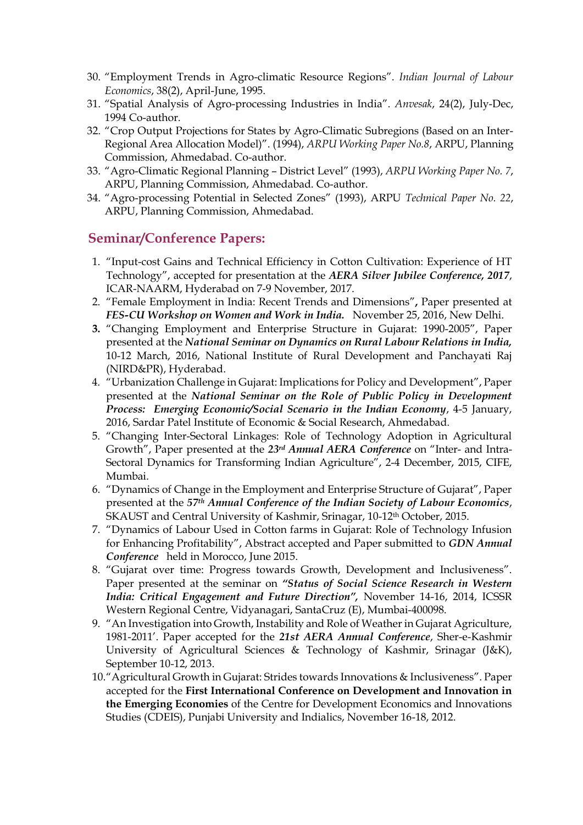- 30. "Employment Trends in Agro-climatic Resource Regions". *Indian Journal of Labour Economics*, 38(2), April-June, 1995.
- 31. "Spatial Analysis of Agro-processing Industries in India". *Anvesak*, 24(2), July-Dec, 1994 Co-author.
- 32. "Crop Output Projections for States by Agro-Climatic Subregions (Based on an Inter-Regional Area Allocation Model)". (1994), *ARPU Working Paper No.8*, ARPU, Planning Commission, Ahmedabad. Co-author.
- 33. "Agro-Climatic Regional Planning District Level" (1993), *ARPU Working Paper No. 7*, ARPU, Planning Commission, Ahmedabad. Co-author.
- 34. "Agro-processing Potential in Selected Zones" (1993), ARPU *Technical Paper No. 22*, ARPU, Planning Commission, Ahmedabad.

#### **Seminar/Conference Papers:**

- 1. "Input-cost Gains and Technical Efficiency in Cotton Cultivation: Experience of HT Technology", accepted for presentation at the *AERA Silver Jubilee Conference, 2017*, ICAR-NAARM, Hyderabad on 7-9 November, 2017.
- 2. "Female Employment in India: Recent Trends and Dimensions"**,** Paper presented at *FES-CU Workshop on Women and Work in India.* November 25, 2016, New Delhi.
- **3.** "Changing Employment and Enterprise Structure in Gujarat: 1990-2005", Paper presented at the *National Seminar on Dynamics on Rural Labour Relations in India,*  10-12 March, 2016, National Institute of Rural Development and Panchayati Raj (NIRD&PR), Hyderabad.
- 4. "Urbanization Challenge in Gujarat: Implications for Policy and Development", Paper presented at the *National Seminar on the Role of Public Policy in Development Process: Emerging Economic/Social Scenario in the Indian Economy*, 4-5 January, 2016, Sardar Patel Institute of Economic & Social Research, Ahmedabad.
- 5. "Changing Inter-Sectoral Linkages: Role of Technology Adoption in Agricultural Growth", Paper presented at the *23rd Annual AERA Conference* on "Inter- and Intra-Sectoral Dynamics for Transforming Indian Agriculture", 2-4 December, 2015, CIFE, Mumbai.
- 6. "Dynamics of Change in the Employment and Enterprise Structure of Gujarat", Paper presented at the *57th Annual Conference of the Indian Society of Labour Economics*, SKAUST and Central University of Kashmir, Srinagar, 10-12<sup>th</sup> October, 2015.
- 7. "Dynamics of Labour Used in Cotton farms in Gujarat: Role of Technology Infusion for Enhancing Profitability", Abstract accepted and Paper submitted to *GDN Annual Conference* held in Morocco, June 2015.
- 8. "Gujarat over time: Progress towards Growth, Development and Inclusiveness". Paper presented at the seminar on *"Status of Social Science Research in Western India: Critical Engagement and Future Direction",* November 14-16, 2014, ICSSR Western Regional Centre, Vidyanagari, SantaCruz (E), Mumbai-400098.
- 9. "An Investigation into Growth, Instability and Role of Weather in Gujarat Agriculture, 1981-2011'. Paper accepted for the *21st AERA Annual Conference*, Sher-e-Kashmir University of Agricultural Sciences & Technology of Kashmir, Srinagar (J&K), September 10-12, 2013.
- 10."Agricultural Growth in Gujarat: Strides towards Innovations & Inclusiveness". Paper accepted for the **First International Conference on Development and Innovation in the Emerging Economies** of the Centre for Development Economics and Innovations Studies (CDEIS), Punjabi University and Indialics, November 16-18, 2012.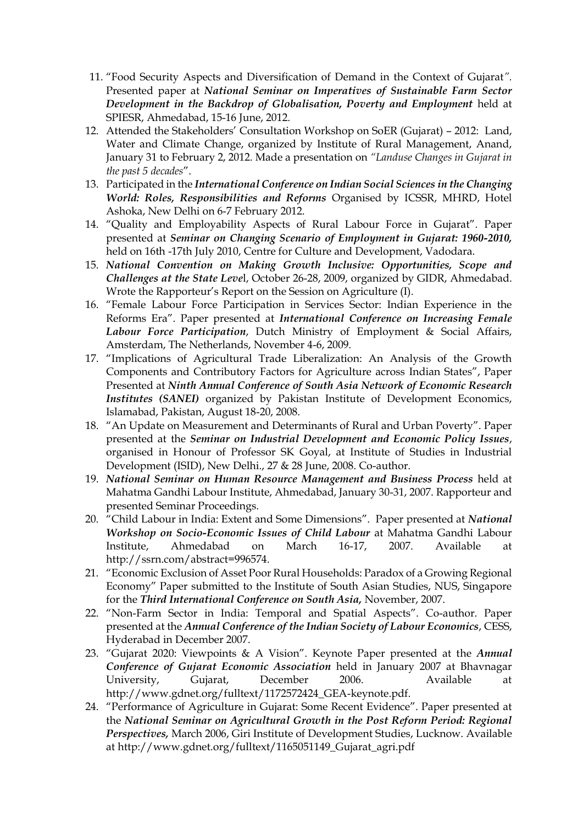- 11. "Food Security Aspects and Diversification of Demand in the Context of Gujarat*".* Presented paper at *National Seminar on Imperatives of Sustainable Farm Sector Development in the Backdrop of Globalisation, Poverty and Employment* held at SPIESR, Ahmedabad, 15-16 June, 2012.
- 12. Attended the Stakeholders' Consultation Workshop on SoER (Gujarat) 2012: Land, Water and Climate Change, organized by Institute of Rural Management, Anand, January 31 to February 2, 2012. Made a presentation on *"Landuse Changes in Gujarat in the past 5 decades*".
- 13. Participated in the *International Conference on Indian Social Sciences in the Changing World: Roles, Responsibilities and Reforms* Organised by ICSSR, MHRD, Hotel Ashoka, New Delhi on 6-7 February 2012.
- 14. "Quality and Employability Aspects of Rural Labour Force in Gujarat". Paper presented at *Seminar on Changing Scenario of Employment in Gujarat: 1960-2010,* held on 16th -17th July 2010, Centre for Culture and Development, Vadodara.
- 15. *National Convention on Making Growth Inclusive: Opportunities, Scope and Challenges at the State Leve*l, October 26-28, 2009, organized by GIDR, Ahmedabad. Wrote the Rapporteur's Report on the Session on Agriculture (I).
- 16. "Female Labour Force Participation in Services Sector: Indian Experience in the Reforms Era". Paper presented at *International Conference on Increasing Female Labour Force Participation*, Dutch Ministry of Employment & Social Affairs, Amsterdam, The Netherlands, November 4-6, 2009.
- 17. "Implications of Agricultural Trade Liberalization: An Analysis of the Growth Components and Contributory Factors for Agriculture across Indian States", Paper Presented at *Ninth Annual Conference of South Asia Network of Economic Research Institutes (SANEI)* organized by Pakistan Institute of Development Economics, Islamabad, Pakistan, August 18-20, 2008.
- 18. "An Update on Measurement and Determinants of Rural and Urban Poverty". Paper presented at the *Seminar on Industrial Development and Economic Policy Issues*, organised in Honour of Professor SK Goyal, at Institute of Studies in Industrial Development (ISID), New Delhi., 27 & 28 June, 2008. Co-author.
- 19. *National Seminar on Human Resource Management and Business Process* held at Mahatma Gandhi Labour Institute, Ahmedabad, January 30-31, 2007. Rapporteur and presented Seminar Proceedings.
- 20. "Child Labour in India: Extent and Some Dimensions". Paper presented at *National Workshop on Socio-Economic Issues of Child Labour* at Mahatma Gandhi Labour Institute, Ahmedabad on March 16-17, 2007. Available at [http://ssrn.com/abstract=996574.](http://ssrn.com/abstract=996574)
- 21. "Economic Exclusion of Asset Poor Rural Households: Paradox of a Growing Regional Economy" Paper submitted to the Institute of South Asian Studies, NUS, Singapore for the *Third International Conference on South Asia,* November, 2007.
- 22. "Non-Farm Sector in India: Temporal and Spatial Aspects". Co-author. Paper presented at the *Annual Conference of the Indian Society of Labour Economics*, CESS, Hyderabad in December 2007.
- 23. "Gujarat 2020: Viewpoints & A Vision". Keynote Paper presented at the *Annual Conference of Gujarat Economic Association* held in January 2007 at Bhavnagar University, Gujarat, December 2006. Available at [http://www.gdnet.org/fulltext/1172572424\\_GEA-keynote.pdf.](http://www.gdnet.org/fulltext/1172572424_GEA-keynote.pdf)
- 24. "Performance of Agriculture in Gujarat: Some Recent Evidence". Paper presented at the *National Seminar on Agricultural Growth in the Post Reform Period: Regional Perspectives,* March 2006, Giri Institute of Development Studies, Lucknow. Available at [http://www.gdnet.org/fulltext/1165051149\\_Gujarat\\_agri.pdf](http://www.gdnet.org/fulltext/1165051149_Gujarat_agri.pdf)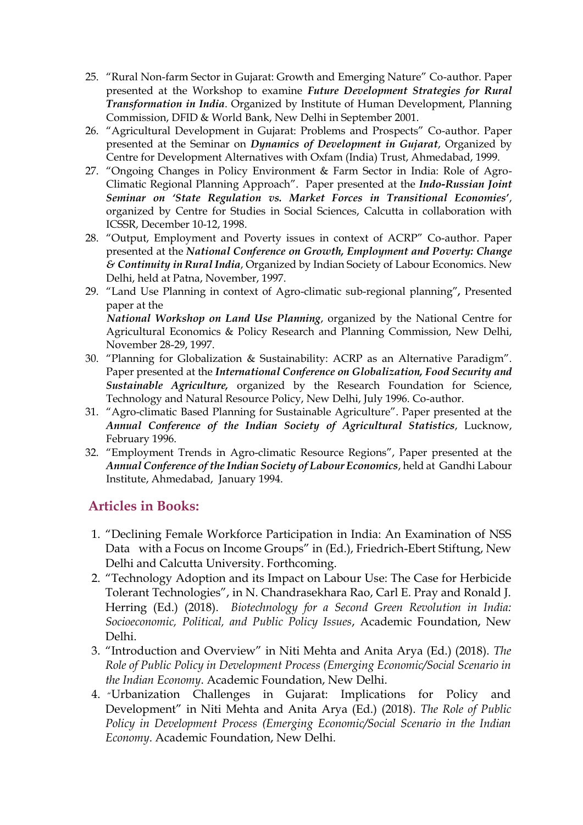- 25. "Rural Non-farm Sector in Gujarat: Growth and Emerging Nature" Co-author. Paper presented at the Workshop to examine *Future Development Strategies for Rural Transformation in India*. Organized by Institute of Human Development, Planning Commission, DFID & World Bank, New Delhi in September 2001.
- 26. "Agricultural Development in Gujarat: Problems and Prospects" Co-author. Paper presented at the Seminar on *Dynamics of Development in Gujarat*, Organized by Centre for Development Alternatives with Oxfam (India) Trust, Ahmedabad, 1999.
- 27. "Ongoing Changes in Policy Environment & Farm Sector in India: Role of Agro-Climatic Regional Planning Approach". Paper presented at the *Indo-Russian Joint Seminar on 'State Regulation vs. Market Forces in Transitional Economies'*, organized by Centre for Studies in Social Sciences, Calcutta in collaboration with ICSSR, December 10-12, 1998.
- 28. "Output, Employment and Poverty issues in context of ACRP" Co-author. Paper presented at the *National Conference on Growth, Employment and Poverty: Change & Continuity in Rural India*, Organized by Indian Society of Labour Economics. New Delhi, held at Patna, November, 1997.
- 29. "Land Use Planning in context of Agro-climatic sub-regional planning"*,* Presented paper at the  *National Workshop on Land Use Planning*, organized by the National Centre for Agricultural Economics & Policy Research and Planning Commission, New Delhi, November 28-29, 1997.
- 30. "Planning for Globalization & Sustainability: ACRP as an Alternative Paradigm". Paper presented at the *International Conference on Globalization, Food Security and Sustainable Agriculture,* organized by the Research Foundation for Science, Technology and Natural Resource Policy, New Delhi, July 1996. Co-author.
- 31. "Agro-climatic Based Planning for Sustainable Agriculture". Paper presented at the *Annual Conference of the Indian Society of Agricultural Statistics*, Lucknow, February 1996.
- 32. "Employment Trends in Agro-climatic Resource Regions", Paper presented at the *Annual Conference of the Indian Society of Labour Economics*, held at Gandhi Labour Institute, Ahmedabad, January 1994.

## **Articles in Books:**

- 1. "Declining Female Workforce Participation in India: An Examination of NSS Data with a Focus on Income Groups" in (Ed.), Friedrich-Ebert Stiftung, New Delhi and Calcutta University. Forthcoming.
- 2. "Technology Adoption and its Impact on Labour Use: The Case for Herbicide Tolerant Technologies", in N. Chandrasekhara Rao, Carl E. Pray and Ronald J. Herring (Ed.) (2018). *Biotechnology for a Second Green Revolution in India: Socioeconomic, Political, and Public Policy Issues*, Academic Foundation, New Delhi.
- 3. "Introduction and Overview" in Niti Mehta and Anita Arya (Ed.) (2018). *The Role of Public Policy in Development Process (Emerging Economic/Social Scenario in the Indian Economy*. Academic Foundation, New Delhi.
- 4. "Urbanization Challenges in Gujarat: Implications for Policy and Development" in Niti Mehta and Anita Arya (Ed.) (2018). *The Role of Public Policy in Development Process (Emerging Economic/Social Scenario in the Indian Economy*. Academic Foundation, New Delhi.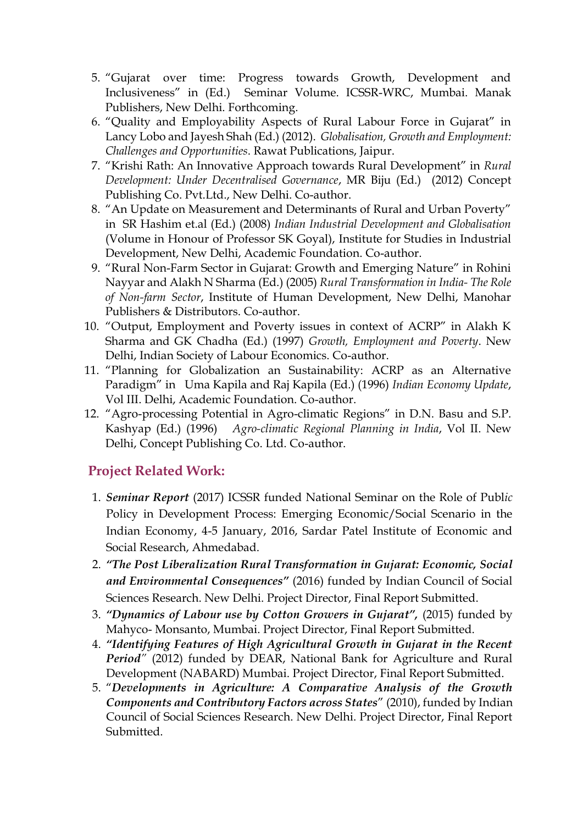- 5. "Gujarat over time: Progress towards Growth, Development and Inclusiveness" in (Ed.) Seminar Volume. ICSSR-WRC, Mumbai. Manak Publishers, New Delhi. Forthcoming.
- 6. "Quality and Employability Aspects of Rural Labour Force in Gujarat" in Lancy Lobo and Jayesh Shah (Ed.) (2012). *Globalisation, Growth and Employment: Challenges and Opportunities*. Rawat Publications, Jaipur.
- 7. "Krishi Rath: An Innovative Approach towards Rural Development" in *Rural Development: Under Decentralised Governance*, MR Biju (Ed.) (2012) Concept Publishing Co. Pvt.Ltd., New Delhi. Co-author.
- 8. "An Update on Measurement and Determinants of Rural and Urban Poverty" in SR Hashim et.al (Ed.) (2008) *Indian Industrial Development and Globalisation* (Volume in Honour of Professor SK Goyal), Institute for Studies in Industrial Development, New Delhi, Academic Foundation. Co-author.
- 9. "Rural Non-Farm Sector in Gujarat: Growth and Emerging Nature" in Rohini Nayyar and Alakh N Sharma (Ed.) (2005) *Rural Transformation in India- The Role of Non-farm Sector*, Institute of Human Development, New Delhi, Manohar Publishers & Distributors. Co-author.
- 10. "Output, Employment and Poverty issues in context of ACRP" in Alakh K Sharma and GK Chadha (Ed.) (1997) *Growth, Employment and Poverty*. New Delhi, Indian Society of Labour Economics. Co-author.
- 11. "Planning for Globalization an Sustainability: ACRP as an Alternative Paradigm" in Uma Kapila and Raj Kapila (Ed.) (1996) *Indian Economy Update*, Vol III. Delhi, Academic Foundation. Co-author.
- 12. "Agro-processing Potential in Agro-climatic Regions" in D.N. Basu and S.P. Kashyap (Ed.) (1996) *Agro-climatic Regional Planning in India*, Vol II. New Delhi, Concept Publishing Co. Ltd. Co-author.

## **Project Related Work:**

- 1. *Seminar Report* (2017) ICSSR funded National Seminar on the Role of Publ*ic*  Policy in Development Process: Emerging Economic/Social Scenario in the Indian Economy, 4-5 January, 2016, Sardar Patel Institute of Economic and Social Research, Ahmedabad.
- 2. *"The Post Liberalization Rural Transformation in Gujarat: Economic, Social and Environmental Consequences"* (2016) funded by Indian Council of Social Sciences Research. New Delhi. Project Director, Final Report Submitted.
- 3. *"Dynamics of Labour use by Cotton Growers in Gujarat",* (2015) funded by Mahyco- Monsanto, Mumbai. Project Director, Final Report Submitted.
- 4. *"Identifying Features of High Agricultural Growth in Gujarat in the Recent Period"* (2012) funded by DEAR, National Bank for Agriculture and Rural Development (NABARD) Mumbai. Project Director, Final Report Submitted.
- 5. "*Developments in Agriculture: A Comparative Analysis of the Growth Components and Contributory Factors across States*" (2010), funded by Indian Council of Social Sciences Research. New Delhi. Project Director, Final Report Submitted.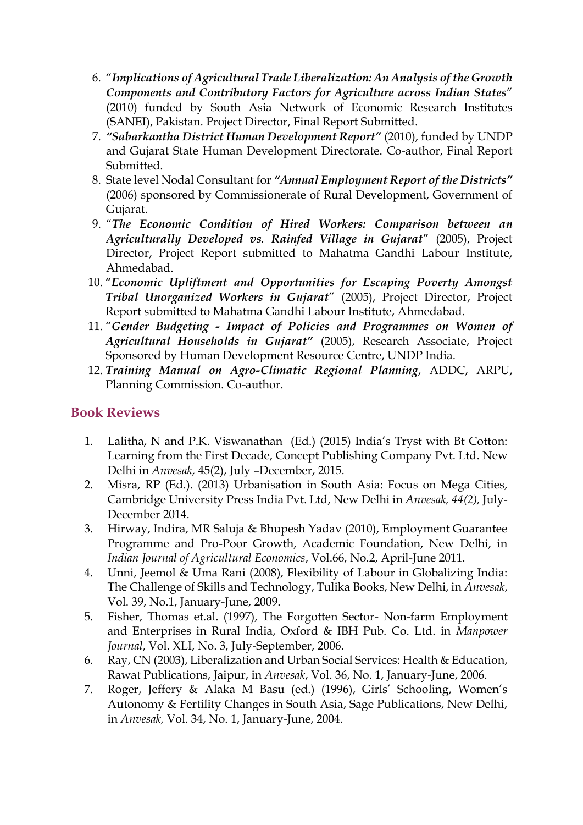- 6. "*Implications of Agricultural Trade Liberalization: An Analysis of the Growth Components and Contributory Factors for Agriculture across Indian States*" (2010) funded by South Asia Network of Economic Research Institutes (SANEI), Pakistan. Project Director, Final Report Submitted.
- 7. *"Sabarkantha District Human Development Report"* (2010), funded by UNDP and Gujarat State Human Development Directorate. Co-author, Final Report Submitted.
- 8. State level Nodal Consultant for *"Annual Employment Report of the Districts"* (2006) sponsored by Commissionerate of Rural Development, Government of Gujarat.
- 9. "*The Economic Condition of Hired Workers: Comparison between an Agriculturally Developed vs. Rainfed Village in Gujarat*" (2005), Project Director, Project Report submitted to Mahatma Gandhi Labour Institute, Ahmedabad.
- 10. "*Economic Upliftment and Opportunities for Escaping Poverty Amongst Tribal Unorganized Workers in Gujarat*" (2005), Project Director, Project Report submitted to Mahatma Gandhi Labour Institute, Ahmedabad.
- 11. "*Gender Budgeting - Impact of Policies and Programmes on Women of Agricultural Households in Gujarat"* (2005), Research Associate, Project Sponsored by Human Development Resource Centre, UNDP India.
- 12. *Training Manual on Agro-Climatic Regional Planning*, ADDC, ARPU, Planning Commission. Co-author.

## **Book Reviews**

- 1. Lalitha, N and P.K. Viswanathan (Ed.) (2015) India's Tryst with Bt Cotton: Learning from the First Decade, Concept Publishing Company Pvt. Ltd. New Delhi in *Anvesak,* 45(2), July –December, 2015.
- 2. Misra, RP (Ed.). (2013) Urbanisation in South Asia: Focus on Mega Cities, Cambridge University Press India Pvt. Ltd, New Delhi in *Anvesak, 44(2),* July-December 2014.
- 3. Hirway, Indira, MR Saluja & Bhupesh Yadav (2010), Employment Guarantee Programme and Pro-Poor Growth, Academic Foundation, New Delhi, in *Indian Journal of Agricultural Economics*, Vol.66, No.2, April-June 2011.
- 4. Unni, Jeemol & Uma Rani (2008), Flexibility of Labour in Globalizing India: The Challenge of Skills and Technology, Tulika Books, New Delhi, in *Anvesak*, Vol. 39, No.1, January-June, 2009.
- 5. Fisher, Thomas et.al. (1997), The Forgotten Sector- Non-farm Employment and Enterprises in Rural India, Oxford & IBH Pub. Co. Ltd. in *Manpower Journal*, Vol. XLI, No. 3, July-September, 2006.
- 6. Ray, CN (2003), Liberalization and Urban Social Services: Health & Education, Rawat Publications, Jaipur, in *Anvesak*, Vol. 36, No. 1, January-June, 2006.
- 7. Roger, Jeffery & Alaka M Basu (ed.) (1996), Girls' Schooling, Women's Autonomy & Fertility Changes in South Asia, Sage Publications, New Delhi, in *Anvesak,* Vol. 34, No. 1, January-June, 2004.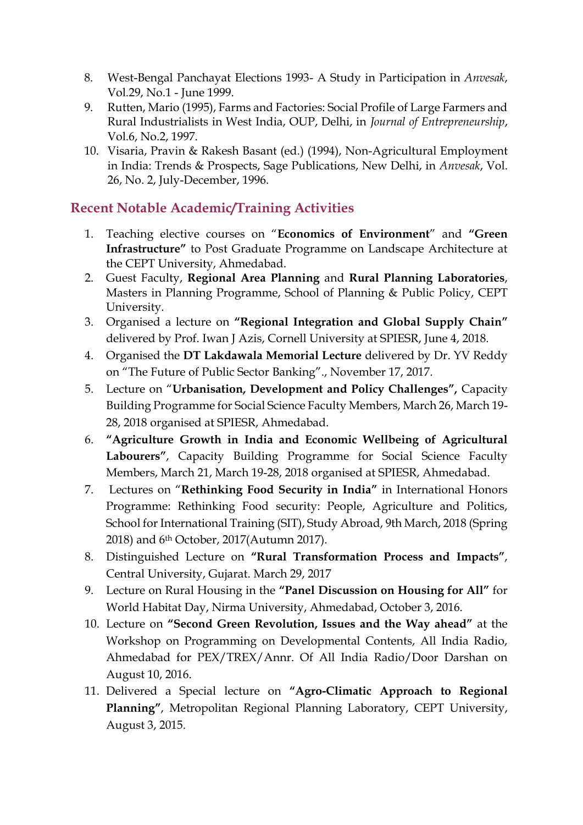- 8. West-Bengal Panchayat Elections 1993- A Study in Participation in *Anvesak*, Vol.29, No.1 - June 1999.
- 9. Rutten, Mario (1995), Farms and Factories: Social Profile of Large Farmers and Rural Industrialists in West India, OUP, Delhi, in *Journal of Entrepreneurship*, Vol.6, No.2, 1997.
- 10. Visaria, Pravin & Rakesh Basant (ed.) (1994), Non-Agricultural Employment in India: Trends & Prospects, Sage Publications, New Delhi, in *Anvesak*, Vol. 26, No. 2, July-December, 1996.

## **Recent Notable Academic/Training Activities**

- 1. Teaching elective courses on "**Economics of Environment**" and **"Green Infrastructure"** to Post Graduate Programme on Landscape Architecture at the CEPT University, Ahmedabad.
- 2. Guest Faculty, **Regional Area Planning** and **Rural Planning Laboratories**, Masters in Planning Programme, School of Planning & Public Policy, CEPT University.
- 3. Organised a lecture on **"Regional Integration and Global Supply Chain"** delivered by Prof. Iwan J Azis, Cornell University at SPIESR, June 4, 2018.
- 4. Organised the **DT Lakdawala Memorial Lecture** delivered by Dr. YV Reddy on "The Future of Public Sector Banking"., November 17, 2017.
- 5. Lecture on "**Urbanisation, Development and Policy Challenges",** Capacity Building Programme for Social Science Faculty Members, March 26, March 19- 28, 2018 organised at SPIESR, Ahmedabad.
- 6. **"Agriculture Growth in India and Economic Wellbeing of Agricultural Labourers"**, Capacity Building Programme for Social Science Faculty Members, March 21, March 19-28, 2018 organised at SPIESR, Ahmedabad.
- 7. Lectures on "**Rethinking Food Security in India"** in International Honors Programme: Rethinking Food security: People, Agriculture and Politics, School for International Training (SIT), Study Abroad, 9th March, 2018 (Spring 2018) and 6th October, 2017(Autumn 2017).
- 8. Distinguished Lecture on **"Rural Transformation Process and Impacts"**, Central University, Gujarat. March 29, 2017
- 9. Lecture on Rural Housing in the **"Panel Discussion on Housing for All"** for World Habitat Day, Nirma University, Ahmedabad, October 3, 2016.
- 10. Lecture on **"Second Green Revolution, Issues and the Way ahead"** at the Workshop on Programming on Developmental Contents, All India Radio, Ahmedabad for PEX/TREX/Annr. Of All India Radio/Door Darshan on August 10, 2016.
- 11. Delivered a Special lecture on **"Agro-Climatic Approach to Regional Planning"**, Metropolitan Regional Planning Laboratory, CEPT University, August 3, 2015.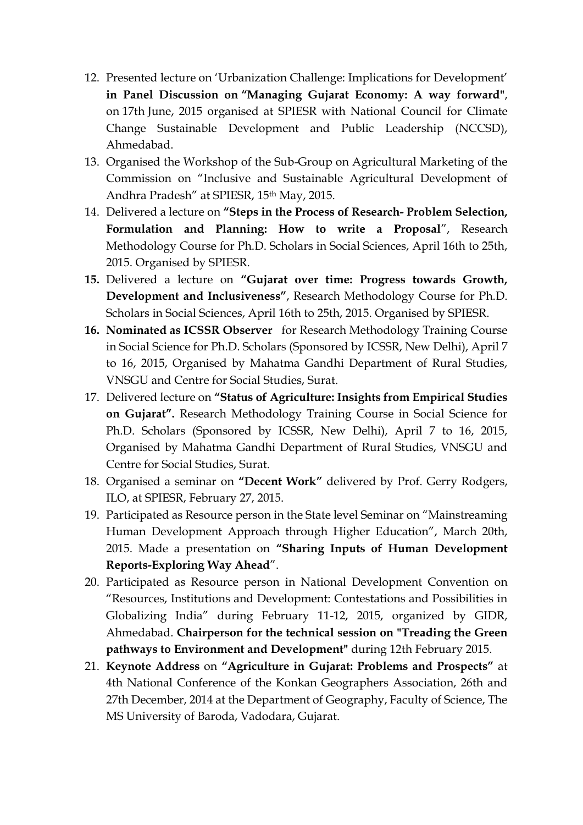- 12. Presented lecture on 'Urbanization Challenge: Implications for Development' **in Panel Discussion on "Managing Gujarat Economy: A way forward"**, on 17th June, 2015 organised at SPIESR with National Council for Climate Change Sustainable Development and Public Leadership (NCCSD), Ahmedabad.
- 13. Organised the Workshop of the Sub-Group on Agricultural Marketing of the Commission on "Inclusive and Sustainable Agricultural Development of Andhra Pradesh" at SPIESR, 15th May, 2015.
- 14. Delivered a lecture on **"Steps in the Process of Research- Problem Selection, Formulation and Planning: How to write a Proposal**", Research Methodology Course for Ph.D. Scholars in Social Sciences, April 16th to 25th, 2015. Organised by SPIESR.
- **15.** Delivered a lecture on **"Gujarat over time: Progress towards Growth, Development and Inclusiveness"**, Research Methodology Course for Ph.D. Scholars in Social Sciences, April 16th to 25th, 2015. Organised by SPIESR.
- **16. Nominated as ICSSR Observer** for Research Methodology Training Course in Social Science for Ph.D. Scholars (Sponsored by ICSSR, New Delhi), April 7 to 16, 2015, Organised by Mahatma Gandhi Department of Rural Studies, VNSGU and Centre for Social Studies, Surat.
- 17. Delivered lecture on **"Status of Agriculture: Insights from Empirical Studies on Gujarat".** Research Methodology Training Course in Social Science for Ph.D. Scholars (Sponsored by ICSSR, New Delhi), April 7 to 16, 2015, Organised by Mahatma Gandhi Department of Rural Studies, VNSGU and Centre for Social Studies, Surat.
- 18. Organised a seminar on **"Decent Work"** delivered by Prof. Gerry Rodgers, ILO, at SPIESR, February 27, 2015.
- 19. Participated as Resource person in the State level Seminar on "Mainstreaming Human Development Approach through Higher Education", March 20th, 2015. Made a presentation on **"Sharing Inputs of Human Development Reports-Exploring Way Ahead**".
- 20. Participated as Resource person in National Development Convention on "Resources, Institutions and Development: Contestations and Possibilities in Globalizing India" during February 11-12, 2015, organized by GIDR, Ahmedabad. **Chairperson for the technical session on "Treading the Green pathways to Environment and Development"** during 12th February 2015.
- 21. **Keynote Address** on **"Agriculture in Gujarat: Problems and Prospects"** at 4th National Conference of the Konkan Geographers Association, 26th and 27th December, 2014 at the Department of Geography, Faculty of Science, The MS University of Baroda, Vadodara, Gujarat.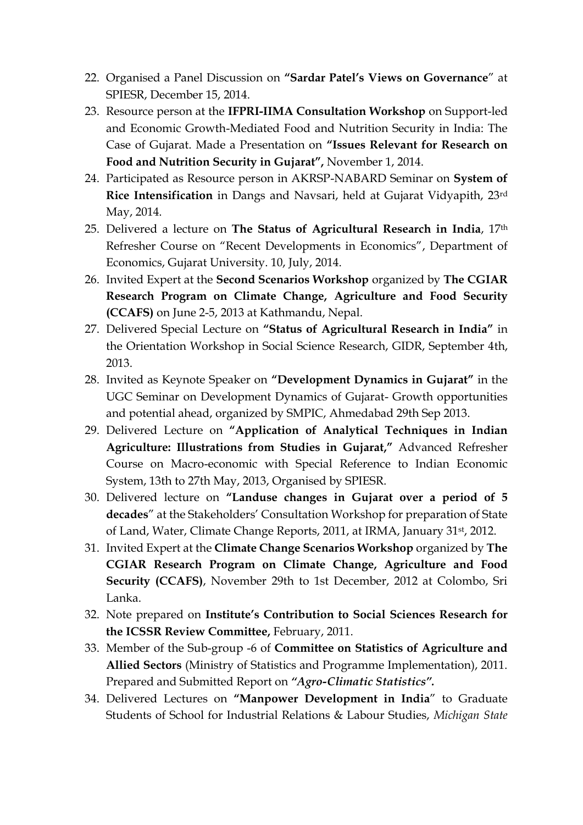- 22. Organised a Panel Discussion on **"Sardar Patel's Views on Governance**" at SPIESR, December 15, 2014.
- 23. Resource person at the **IFPRI-IIMA Consultation Workshop** on Support-led and Economic Growth-Mediated Food and Nutrition Security in India: The Case of Gujarat. Made a Presentation on **"Issues Relevant for Research on Food and Nutrition Security in Gujarat",** November 1, 2014.
- 24. Participated as Resource person in AKRSP-NABARD Seminar on **System of Rice Intensification** in Dangs and Navsari, held at Gujarat Vidyapith, 23rd May, 2014.
- 25. Delivered a lecture on **The Status of Agricultural Research in India**, 17th Refresher Course on "Recent Developments in Economics", Department of Economics, Gujarat University. 10, July, 2014.
- 26. Invited Expert at the **Second Scenarios Workshop** organized by **The CGIAR Research Program on Climate Change, Agriculture and Food Security (CCAFS)** on June 2-5, 2013 at Kathmandu, Nepal.
- 27. Delivered Special Lecture on **"Status of Agricultural Research in India"** in the Orientation Workshop in Social Science Research, GIDR, September 4th, 2013.
- 28. Invited as Keynote Speaker on **"Development Dynamics in Gujarat"** in the UGC Seminar on Development Dynamics of Gujarat- Growth opportunities and potential ahead, organized by SMPIC, Ahmedabad 29th Sep 2013.
- 29. Delivered Lecture on **"Application of Analytical Techniques in Indian Agriculture: Illustrations from Studies in Gujarat,"** Advanced Refresher Course on Macro-economic with Special Reference to Indian Economic System, 13th to 27th May, 2013, Organised by SPIESR.
- 30. Delivered lecture on **"Landuse changes in Gujarat over a period of 5 decades**" at the Stakeholders' Consultation Workshop for preparation of State of Land, Water, Climate Change Reports, 2011, at IRMA, January 31st, 2012.
- 31. Invited Expert at the **Climate Change Scenarios Workshop** organized by **The CGIAR Research Program on Climate Change, Agriculture and Food Security (CCAFS)**, November 29th to 1st December, 2012 at Colombo, Sri Lanka.
- 32. Note prepared on **Institute's Contribution to Social Sciences Research for the ICSSR Review Committee,** February, 2011.
- 33. Member of the Sub-group -6 of **Committee on Statistics of Agriculture and Allied Sectors** (Ministry of Statistics and Programme Implementation), 2011. Prepared and Submitted Report on *"Agro-Climatic Statistics".*
- 34. Delivered Lectures on **"Manpower Development in India**" to Graduate Students of School for Industrial Relations & Labour Studies, *Michigan State*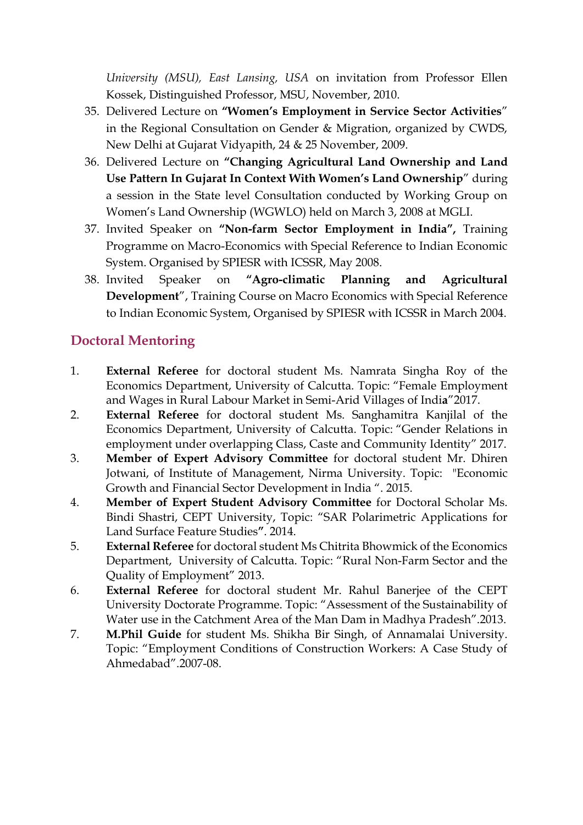*University (MSU), East Lansing, USA* on invitation from Professor Ellen Kossek, Distinguished Professor, MSU, November, 2010.

- 35. Delivered Lecture on **"Women's Employment in Service Sector Activities**" in the Regional Consultation on Gender & Migration, organized by CWDS, New Delhi at Gujarat Vidyapith, 24 & 25 November, 2009.
- 36. Delivered Lecture on **"Changing Agricultural Land Ownership and Land Use Pattern In Gujarat In Context With Women's Land Ownership**" during a session in the State level Consultation conducted by Working Group on Women's Land Ownership (WGWLO) held on March 3, 2008 at MGLI.
- 37. Invited Speaker on **"Non-farm Sector Employment in India",** Training Programme on Macro-Economics with Special Reference to Indian Economic System. Organised by SPIESR with ICSSR, May 2008.
- 38. Invited Speaker on **"Agro-climatic Planning and Agricultural Development**", Training Course on Macro Economics with Special Reference to Indian Economic System, Organised by SPIESR with ICSSR in March 2004.

# **Doctoral Mentoring**

- 1. **External Referee** for doctoral student Ms. Namrata Singha Roy of the Economics Department, University of Calcutta. Topic: "Female Employment and Wages in Rural Labour Market in Semi-Arid Villages of Indi**a**"2017.
- 2. **External Referee** for doctoral student Ms. Sanghamitra Kanjilal of the Economics Department, University of Calcutta. Topic: "Gender Relations in employment under overlapping Class, Caste and Community Identity" 2017.
- 3. **Member of Expert Advisory Committee** for doctoral student Mr. Dhiren Jotwani, of Institute of Management, Nirma University. Topic: "Economic Growth and Financial Sector Development in India ". 2015.
- 4. **Member of Expert Student Advisory Committee** for Doctoral Scholar Ms. Bindi Shastri, CEPT University, Topic: "SAR Polarimetric Applications for Land Surface Feature Studies**"**. 2014.
- 5. **External Referee** for doctoral student Ms Chitrita Bhowmick of the Economics Department, University of Calcutta. Topic: "Rural Non-Farm Sector and the Quality of Employment" 2013.
- 6. **External Referee** for doctoral student Mr. Rahul Banerjee of the CEPT University Doctorate Programme. Topic: "Assessment of the Sustainability of Water use in the Catchment Area of the Man Dam in Madhya Pradesh".2013.
- 7. **M.Phil Guide** for student Ms. Shikha Bir Singh, of Annamalai University. Topic: "Employment Conditions of Construction Workers: A Case Study of Ahmedabad".2007-08.